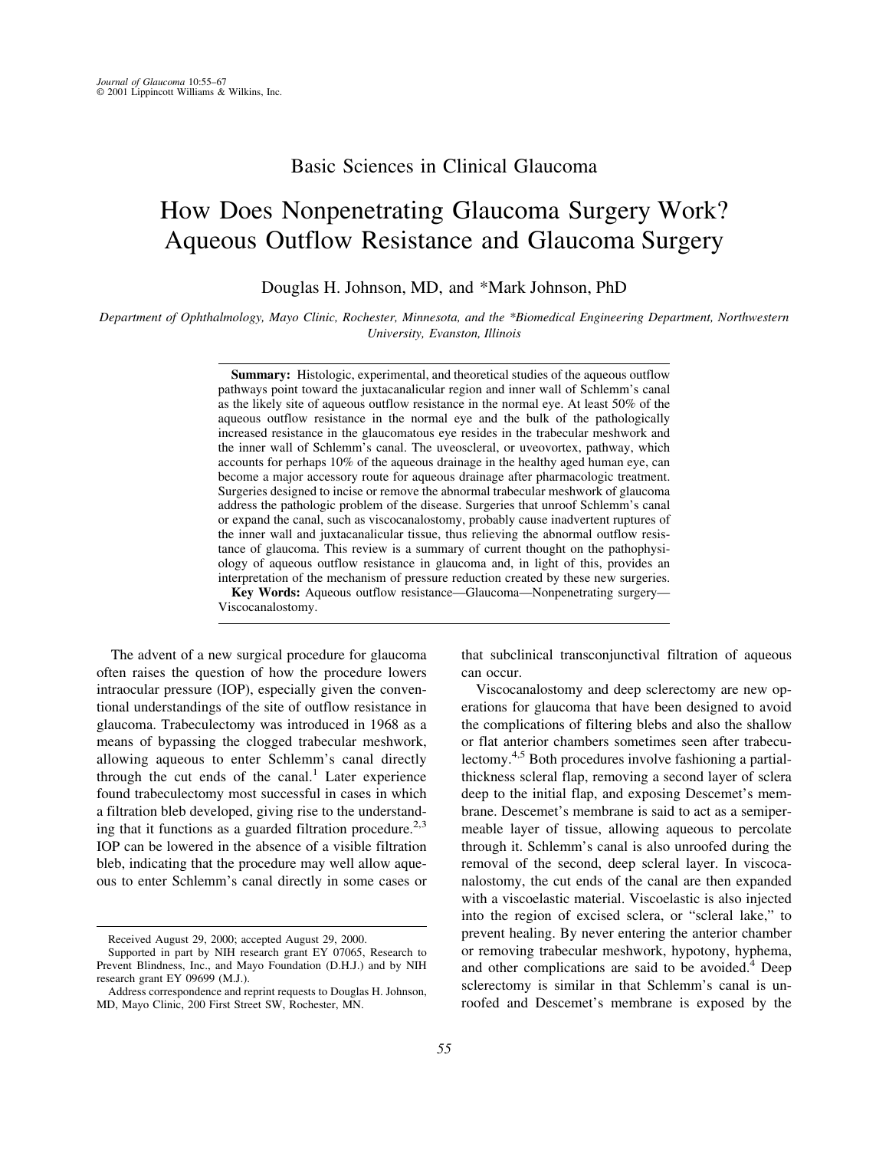## Basic Sciences in Clinical Glaucoma

# How Does Nonpenetrating Glaucoma Surgery Work? Aqueous Outflow Resistance and Glaucoma Surgery

Douglas H. Johnson, MD, and \*Mark Johnson, PhD

*Department of Ophthalmology, Mayo Clinic, Rochester, Minnesota, and the \*Biomedical Engineering Department, Northwestern University, Evanston, Illinois*

> **Summary:** Histologic, experimental, and theoretical studies of the aqueous outflow pathways point toward the juxtacanalicular region and inner wall of Schlemm's canal as the likely site of aqueous outflow resistance in the normal eye. At least 50% of the aqueous outflow resistance in the normal eye and the bulk of the pathologically increased resistance in the glaucomatous eye resides in the trabecular meshwork and the inner wall of Schlemm's canal. The uveoscleral, or uveovortex, pathway, which accounts for perhaps 10% of the aqueous drainage in the healthy aged human eye, can become a major accessory route for aqueous drainage after pharmacologic treatment. Surgeries designed to incise or remove the abnormal trabecular meshwork of glaucoma address the pathologic problem of the disease. Surgeries that unroof Schlemm's canal or expand the canal, such as viscocanalostomy, probably cause inadvertent ruptures of the inner wall and juxtacanalicular tissue, thus relieving the abnormal outflow resistance of glaucoma. This review is a summary of current thought on the pathophysiology of aqueous outflow resistance in glaucoma and, in light of this, provides an interpretation of the mechanism of pressure reduction created by these new surgeries.

> **Key Words:** Aqueous outflow resistance—Glaucoma—Nonpenetrating surgery— Viscocanalostomy.

The advent of a new surgical procedure for glaucoma often raises the question of how the procedure lowers intraocular pressure (IOP), especially given the conventional understandings of the site of outflow resistance in glaucoma. Trabeculectomy was introduced in 1968 as a means of bypassing the clogged trabecular meshwork, allowing aqueous to enter Schlemm's canal directly through the cut ends of the canal. $<sup>1</sup>$  Later experience</sup> found trabeculectomy most successful in cases in which a filtration bleb developed, giving rise to the understanding that it functions as a guarded filtration procedure.<sup>2,3</sup> IOP can be lowered in the absence of a visible filtration bleb, indicating that the procedure may well allow aqueous to enter Schlemm's canal directly in some cases or

that subclinical transconjunctival filtration of aqueous can occur.

Viscocanalostomy and deep sclerectomy are new operations for glaucoma that have been designed to avoid the complications of filtering blebs and also the shallow or flat anterior chambers sometimes seen after trabeculectomy.4,5 Both procedures involve fashioning a partialthickness scleral flap, removing a second layer of sclera deep to the initial flap, and exposing Descemet's membrane. Descemet's membrane is said to act as a semipermeable layer of tissue, allowing aqueous to percolate through it. Schlemm's canal is also unroofed during the removal of the second, deep scleral layer. In viscocanalostomy, the cut ends of the canal are then expanded with a viscoelastic material. Viscoelastic is also injected into the region of excised sclera, or "scleral lake," to prevent healing. By never entering the anterior chamber or removing trabecular meshwork, hypotony, hyphema, and other complications are said to be avoided. $4$  Deep sclerectomy is similar in that Schlemm's canal is unroofed and Descemet's membrane is exposed by the

Received August 29, 2000; accepted August 29, 2000.

Supported in part by NIH research grant EY 07065, Research to Prevent Blindness, Inc., and Mayo Foundation (D.H.J.) and by NIH research grant EY 09699 (M.J.).

Address correspondence and reprint requests to Douglas H. Johnson, MD, Mayo Clinic, 200 First Street SW, Rochester, MN.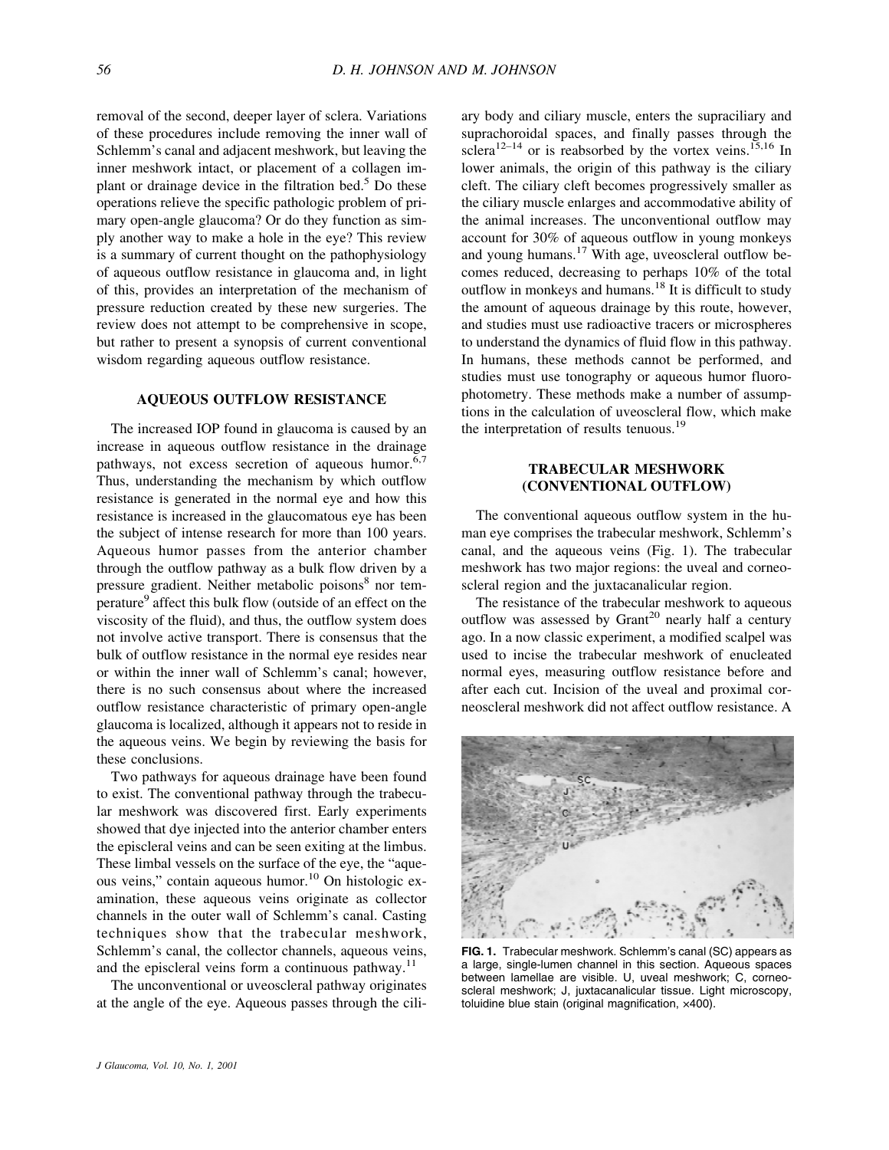removal of the second, deeper layer of sclera. Variations of these procedures include removing the inner wall of Schlemm's canal and adjacent meshwork, but leaving the inner meshwork intact, or placement of a collagen implant or drainage device in the filtration bed. $<sup>5</sup>$  Do these</sup> operations relieve the specific pathologic problem of primary open-angle glaucoma? Or do they function as simply another way to make a hole in the eye? This review is a summary of current thought on the pathophysiology of aqueous outflow resistance in glaucoma and, in light of this, provides an interpretation of the mechanism of pressure reduction created by these new surgeries. The review does not attempt to be comprehensive in scope, but rather to present a synopsis of current conventional wisdom regarding aqueous outflow resistance.

## **AQUEOUS OUTFLOW RESISTANCE**

The increased IOP found in glaucoma is caused by an increase in aqueous outflow resistance in the drainage pathways, not excess secretion of aqueous humor.<sup>6,7</sup> Thus, understanding the mechanism by which outflow resistance is generated in the normal eye and how this resistance is increased in the glaucomatous eye has been the subject of intense research for more than 100 years. Aqueous humor passes from the anterior chamber through the outflow pathway as a bulk flow driven by a pressure gradient. Neither metabolic poisons<sup>8</sup> nor temperature9 affect this bulk flow (outside of an effect on the viscosity of the fluid), and thus, the outflow system does not involve active transport. There is consensus that the bulk of outflow resistance in the normal eye resides near or within the inner wall of Schlemm's canal; however, there is no such consensus about where the increased outflow resistance characteristic of primary open-angle glaucoma is localized, although it appears not to reside in the aqueous veins. We begin by reviewing the basis for these conclusions.

Two pathways for aqueous drainage have been found to exist. The conventional pathway through the trabecular meshwork was discovered first. Early experiments showed that dye injected into the anterior chamber enters the episcleral veins and can be seen exiting at the limbus. These limbal vessels on the surface of the eye, the "aqueous veins," contain aqueous humor.<sup>10</sup> On histologic examination, these aqueous veins originate as collector channels in the outer wall of Schlemm's canal. Casting techniques show that the trabecular meshwork, Schlemm's canal, the collector channels, aqueous veins, and the episcleral veins form a continuous pathway.<sup>11</sup>

The unconventional or uveoscleral pathway originates at the angle of the eye. Aqueous passes through the ciliary body and ciliary muscle, enters the supraciliary and suprachoroidal spaces, and finally passes through the sclera<sup>12–14</sup> or is reabsorbed by the vortex veins.<sup>15,16</sup> In lower animals, the origin of this pathway is the ciliary cleft. The ciliary cleft becomes progressively smaller as the ciliary muscle enlarges and accommodative ability of the animal increases. The unconventional outflow may account for 30% of aqueous outflow in young monkeys and young humans.<sup>17</sup> With age, uveoscleral outflow becomes reduced, decreasing to perhaps 10% of the total outflow in monkeys and humans.18 It is difficult to study the amount of aqueous drainage by this route, however, and studies must use radioactive tracers or microspheres to understand the dynamics of fluid flow in this pathway. In humans, these methods cannot be performed, and studies must use tonography or aqueous humor fluorophotometry. These methods make a number of assumptions in the calculation of uveoscleral flow, which make the interpretation of results tenuous.<sup>19</sup>

## **TRABECULAR MESHWORK (CONVENTIONAL OUTFLOW)**

The conventional aqueous outflow system in the human eye comprises the trabecular meshwork, Schlemm's canal, and the aqueous veins (Fig. 1). The trabecular meshwork has two major regions: the uveal and corneoscleral region and the juxtacanalicular region.

The resistance of the trabecular meshwork to aqueous outflow was assessed by Grant<sup>20</sup> nearly half a century ago. In a now classic experiment, a modified scalpel was used to incise the trabecular meshwork of enucleated normal eyes, measuring outflow resistance before and after each cut. Incision of the uveal and proximal corneoscleral meshwork did not affect outflow resistance. A



**FIG. 1.** Trabecular meshwork. Schlemm's canal (SC) appears as a large, single-lumen channel in this section. Aqueous spaces between lamellae are visible. U, uveal meshwork; C, corneoscleral meshwork; J, juxtacanalicular tissue. Light microscopy, toluidine blue stain (original magnification, ×400).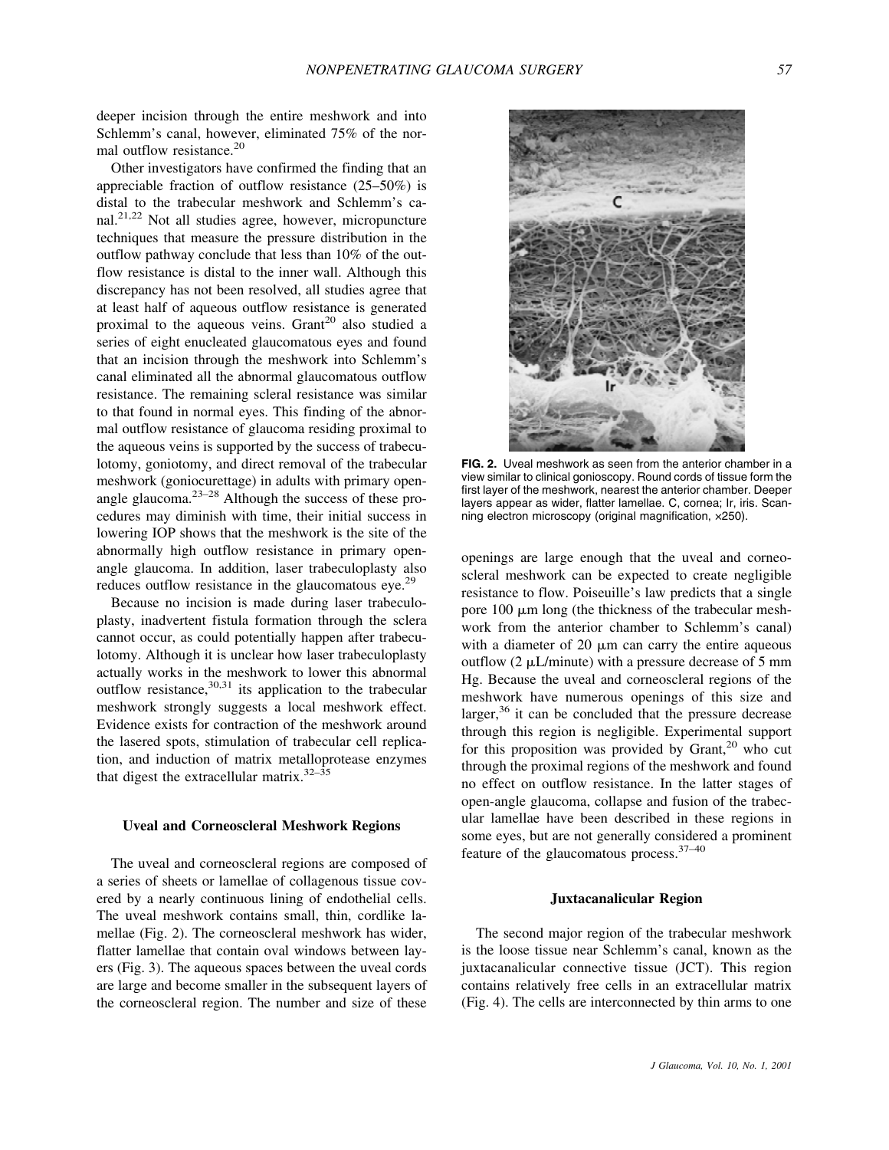deeper incision through the entire meshwork and into Schlemm's canal, however, eliminated 75% of the normal outflow resistance.<sup>20</sup>

Other investigators have confirmed the finding that an appreciable fraction of outflow resistance (25–50%) is distal to the trabecular meshwork and Schlemm's canal.21,22 Not all studies agree, however, micropuncture techniques that measure the pressure distribution in the outflow pathway conclude that less than 10% of the outflow resistance is distal to the inner wall. Although this discrepancy has not been resolved, all studies agree that at least half of aqueous outflow resistance is generated proximal to the aqueous veins. Grant<sup>20</sup> also studied a series of eight enucleated glaucomatous eyes and found that an incision through the meshwork into Schlemm's canal eliminated all the abnormal glaucomatous outflow resistance. The remaining scleral resistance was similar to that found in normal eyes. This finding of the abnormal outflow resistance of glaucoma residing proximal to the aqueous veins is supported by the success of trabeculotomy, goniotomy, and direct removal of the trabecular meshwork (goniocurettage) in adults with primary openangle glaucoma. $23-28$  Although the success of these procedures may diminish with time, their initial success in lowering IOP shows that the meshwork is the site of the abnormally high outflow resistance in primary openangle glaucoma. In addition, laser trabeculoplasty also reduces outflow resistance in the glaucomatous eye.<sup>29</sup>

Because no incision is made during laser trabeculoplasty, inadvertent fistula formation through the sclera cannot occur, as could potentially happen after trabeculotomy. Although it is unclear how laser trabeculoplasty actually works in the meshwork to lower this abnormal outflow resistance, $30,31$  its application to the trabecular meshwork strongly suggests a local meshwork effect. Evidence exists for contraction of the meshwork around the lasered spots, stimulation of trabecular cell replication, and induction of matrix metalloprotease enzymes that digest the extracellular matrix. $32-35$ 

#### **Uveal and Corneoscleral Meshwork Regions**

The uveal and corneoscleral regions are composed of a series of sheets or lamellae of collagenous tissue covered by a nearly continuous lining of endothelial cells. The uveal meshwork contains small, thin, cordlike lamellae (Fig. 2). The corneoscleral meshwork has wider, flatter lamellae that contain oval windows between layers (Fig. 3). The aqueous spaces between the uveal cords are large and become smaller in the subsequent layers of the corneoscleral region. The number and size of these



**FIG. 2.** Uveal meshwork as seen from the anterior chamber in a view similar to clinical gonioscopy. Round cords of tissue form the first layer of the meshwork, nearest the anterior chamber. Deeper layers appear as wider, flatter lamellae. C, cornea; Ir, iris. Scanning electron microscopy (original magnification, ×250).

openings are large enough that the uveal and corneoscleral meshwork can be expected to create negligible resistance to flow. Poiseuille's law predicts that a single pore  $100 \mu m$  long (the thickness of the trabecular meshwork from the anterior chamber to Schlemm's canal) with a diameter of  $20 \mu m$  can carry the entire aqueous outflow  $(2 \mu L/min)$  with a pressure decrease of 5 mm Hg. Because the uveal and corneoscleral regions of the meshwork have numerous openings of this size and larger, $36$  it can be concluded that the pressure decrease through this region is negligible. Experimental support for this proposition was provided by Grant, $^{20}$  who cut through the proximal regions of the meshwork and found no effect on outflow resistance. In the latter stages of open-angle glaucoma, collapse and fusion of the trabecular lamellae have been described in these regions in some eyes, but are not generally considered a prominent feature of the glaucomatous process.<sup>37-40</sup>

#### **Juxtacanalicular Region**

The second major region of the trabecular meshwork is the loose tissue near Schlemm's canal, known as the juxtacanalicular connective tissue (JCT). This region contains relatively free cells in an extracellular matrix (Fig. 4). The cells are interconnected by thin arms to one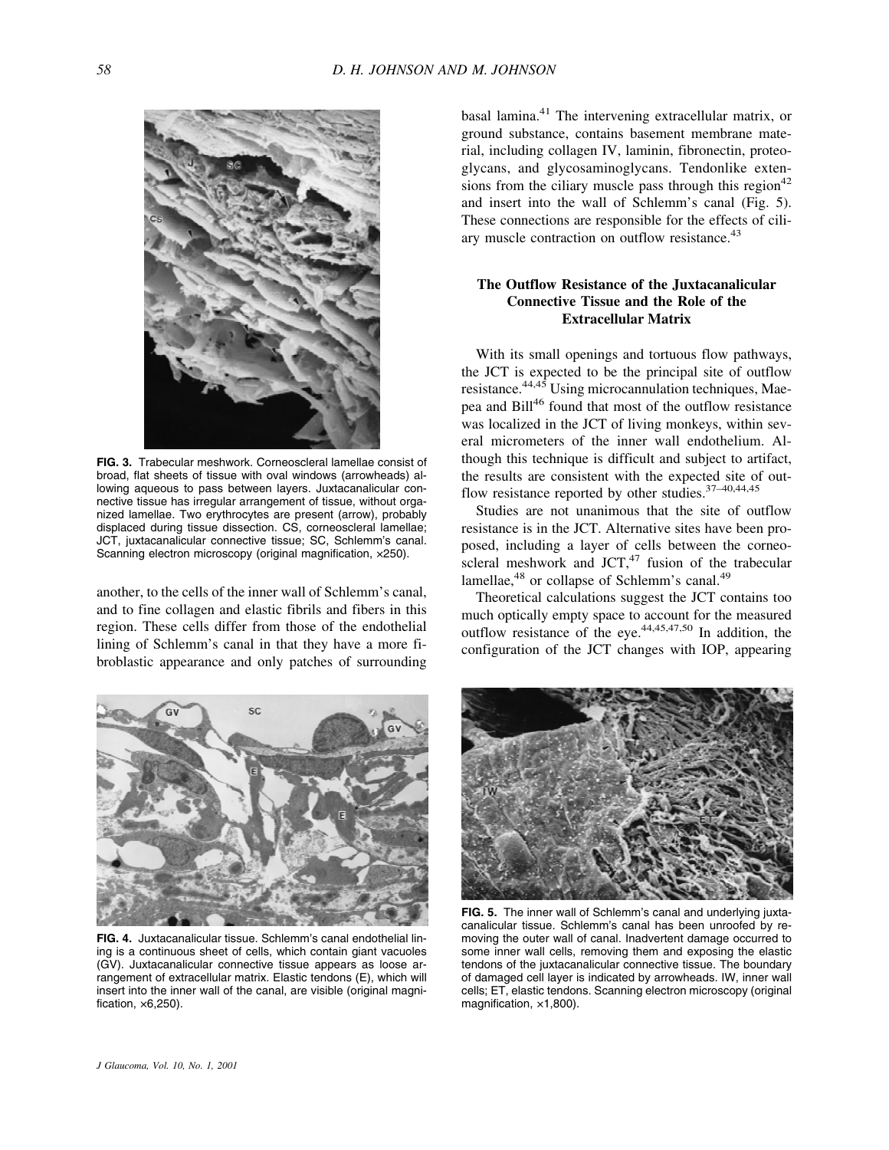

**FIG. 3.** Trabecular meshwork. Corneoscleral lamellae consist of broad, flat sheets of tissue with oval windows (arrowheads) allowing aqueous to pass between layers. Juxtacanalicular connective tissue has irregular arrangement of tissue, without organized lamellae. Two erythrocytes are present (arrow), probably displaced during tissue dissection. CS, corneoscleral lamellae; JCT, juxtacanalicular connective tissue; SC, Schlemm's canal. Scanning electron microscopy (original magnification,  $\times$ 250).

another, to the cells of the inner wall of Schlemm's canal, and to fine collagen and elastic fibrils and fibers in this region. These cells differ from those of the endothelial lining of Schlemm's canal in that they have a more fibroblastic appearance and only patches of surrounding



**FIG. 4.** Juxtacanalicular tissue. Schlemm's canal endothelial lining is a continuous sheet of cells, which contain giant vacuoles (GV). Juxtacanalicular connective tissue appears as loose arrangement of extracellular matrix. Elastic tendons (E), which will insert into the inner wall of the canal, are visible (original magnification,  $\times 6,250$ ).

basal lamina.41 The intervening extracellular matrix, or ground substance, contains basement membrane material, including collagen IV, laminin, fibronectin, proteoglycans, and glycosaminoglycans. Tendonlike extensions from the ciliary muscle pass through this region<sup>42</sup> and insert into the wall of Schlemm's canal (Fig. 5). These connections are responsible for the effects of ciliary muscle contraction on outflow resistance.<sup>43</sup>

## **The Outflow Resistance of the Juxtacanalicular Connective Tissue and the Role of the Extracellular Matrix**

With its small openings and tortuous flow pathways, the JCT is expected to be the principal site of outflow resistance.<sup>44,45</sup> Using microcannulation techniques, Maepea and Bill<sup>46</sup> found that most of the outflow resistance was localized in the JCT of living monkeys, within several micrometers of the inner wall endothelium. Although this technique is difficult and subject to artifact, the results are consistent with the expected site of outflow resistance reported by other studies.<sup>37-40,44,45</sup>

Studies are not unanimous that the site of outflow resistance is in the JCT. Alternative sites have been proposed, including a layer of cells between the corneoscleral meshwork and JCT, $47$  fusion of the trabecular lamellae, $48$  or collapse of Schlemm's canal. $49$ 

Theoretical calculations suggest the JCT contains too much optically empty space to account for the measured outflow resistance of the eye. $44,45,47,50$  In addition, the configuration of the JCT changes with IOP, appearing



**FIG. 5.** The inner wall of Schlemm's canal and underlying juxtacanalicular tissue. Schlemm's canal has been unroofed by removing the outer wall of canal. Inadvertent damage occurred to some inner wall cells, removing them and exposing the elastic tendons of the juxtacanalicular connective tissue. The boundary of damaged cell layer is indicated by arrowheads. IW, inner wall cells; ET, elastic tendons. Scanning electron microscopy (original magnification, ×1,800).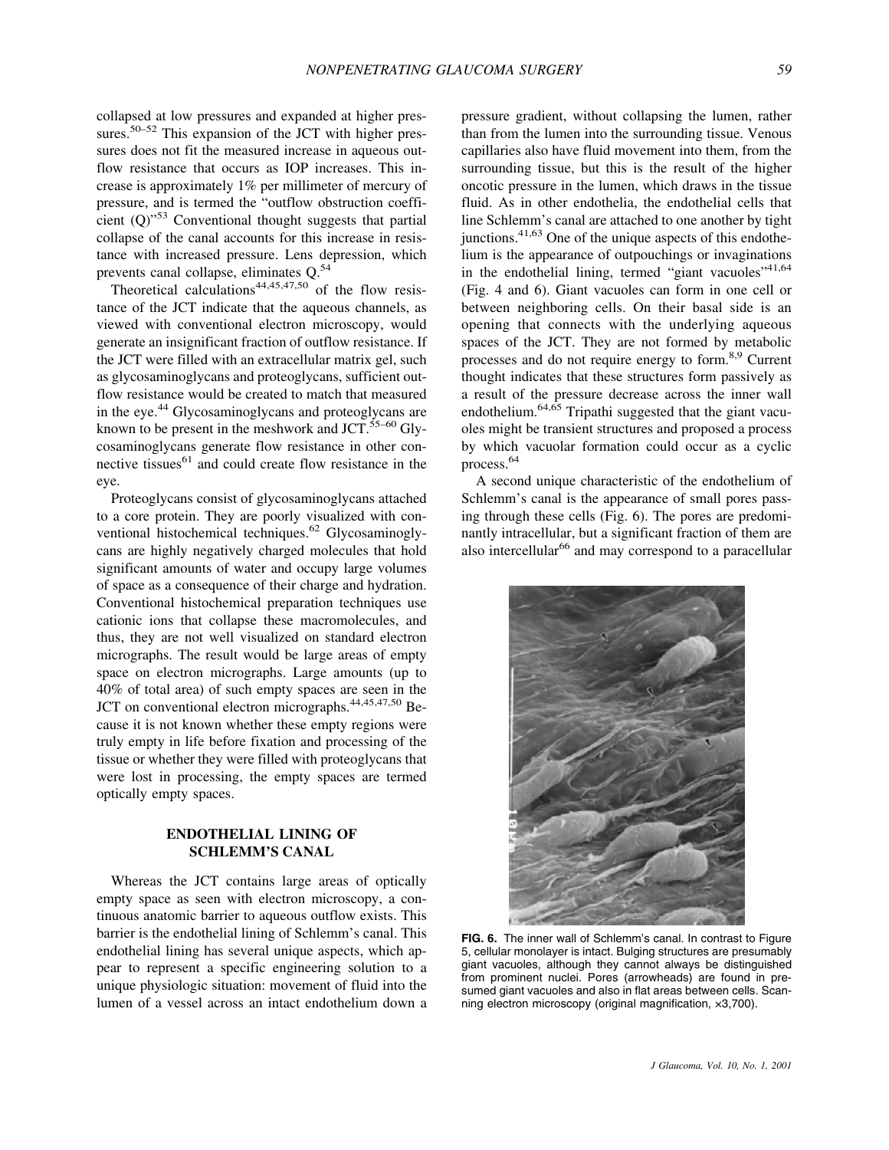collapsed at low pressures and expanded at higher pressures.<sup>50–52</sup> This expansion of the JCT with higher pressures does not fit the measured increase in aqueous outflow resistance that occurs as IOP increases. This increase is approximately 1% per millimeter of mercury of pressure, and is termed the "outflow obstruction coefficient  $(Q)$ <sup>53</sup> Conventional thought suggests that partial collapse of the canal accounts for this increase in resistance with increased pressure. Lens depression, which prevents canal collapse, eliminates Q.<sup>54</sup>

Theoretical calculations<sup>44,45,47,50</sup> of the flow resistance of the JCT indicate that the aqueous channels, as viewed with conventional electron microscopy, would generate an insignificant fraction of outflow resistance. If the JCT were filled with an extracellular matrix gel, such as glycosaminoglycans and proteoglycans, sufficient outflow resistance would be created to match that measured in the eye.<sup>44</sup> Glycosaminoglycans and proteoglycans are known to be present in the meshwork and JCT. $55-60$  Glycosaminoglycans generate flow resistance in other connective tissues $61$  and could create flow resistance in the eye.

Proteoglycans consist of glycosaminoglycans attached to a core protein. They are poorly visualized with conventional histochemical techniques.62 Glycosaminoglycans are highly negatively charged molecules that hold significant amounts of water and occupy large volumes of space as a consequence of their charge and hydration. Conventional histochemical preparation techniques use cationic ions that collapse these macromolecules, and thus, they are not well visualized on standard electron micrographs. The result would be large areas of empty space on electron micrographs. Large amounts (up to 40% of total area) of such empty spaces are seen in the JCT on conventional electron micrographs.<sup>44,45,47,50</sup> Because it is not known whether these empty regions were truly empty in life before fixation and processing of the tissue or whether they were filled with proteoglycans that were lost in processing, the empty spaces are termed optically empty spaces.

## **ENDOTHELIAL LINING OF SCHLEMM'S CANAL**

Whereas the JCT contains large areas of optically empty space as seen with electron microscopy, a continuous anatomic barrier to aqueous outflow exists. This barrier is the endothelial lining of Schlemm's canal. This endothelial lining has several unique aspects, which appear to represent a specific engineering solution to a unique physiologic situation: movement of fluid into the lumen of a vessel across an intact endothelium down a pressure gradient, without collapsing the lumen, rather than from the lumen into the surrounding tissue. Venous capillaries also have fluid movement into them, from the surrounding tissue, but this is the result of the higher oncotic pressure in the lumen, which draws in the tissue fluid. As in other endothelia, the endothelial cells that line Schlemm's canal are attached to one another by tight junctions. $41,63$  One of the unique aspects of this endothelium is the appearance of outpouchings or invaginations in the endothelial lining, termed "giant vacuoles", $41,64$ (Fig. 4 and 6). Giant vacuoles can form in one cell or between neighboring cells. On their basal side is an opening that connects with the underlying aqueous spaces of the JCT. They are not formed by metabolic processes and do not require energy to form.8,9 Current thought indicates that these structures form passively as a result of the pressure decrease across the inner wall endothelium.<sup>64, $65$ </sup> Tripathi suggested that the giant vacuoles might be transient structures and proposed a process by which vacuolar formation could occur as a cyclic process.64

A second unique characteristic of the endothelium of Schlemm's canal is the appearance of small pores passing through these cells (Fig. 6). The pores are predominantly intracellular, but a significant fraction of them are also intercellular<sup>66</sup> and may correspond to a paracellular



**FIG. 6.** The inner wall of Schlemm's canal. In contrast to Figure 5, cellular monolayer is intact. Bulging structures are presumably giant vacuoles, although they cannot always be distinguished from prominent nuclei. Pores (arrowheads) are found in presumed giant vacuoles and also in flat areas between cells. Scanning electron microscopy (original magnification, ×3,700).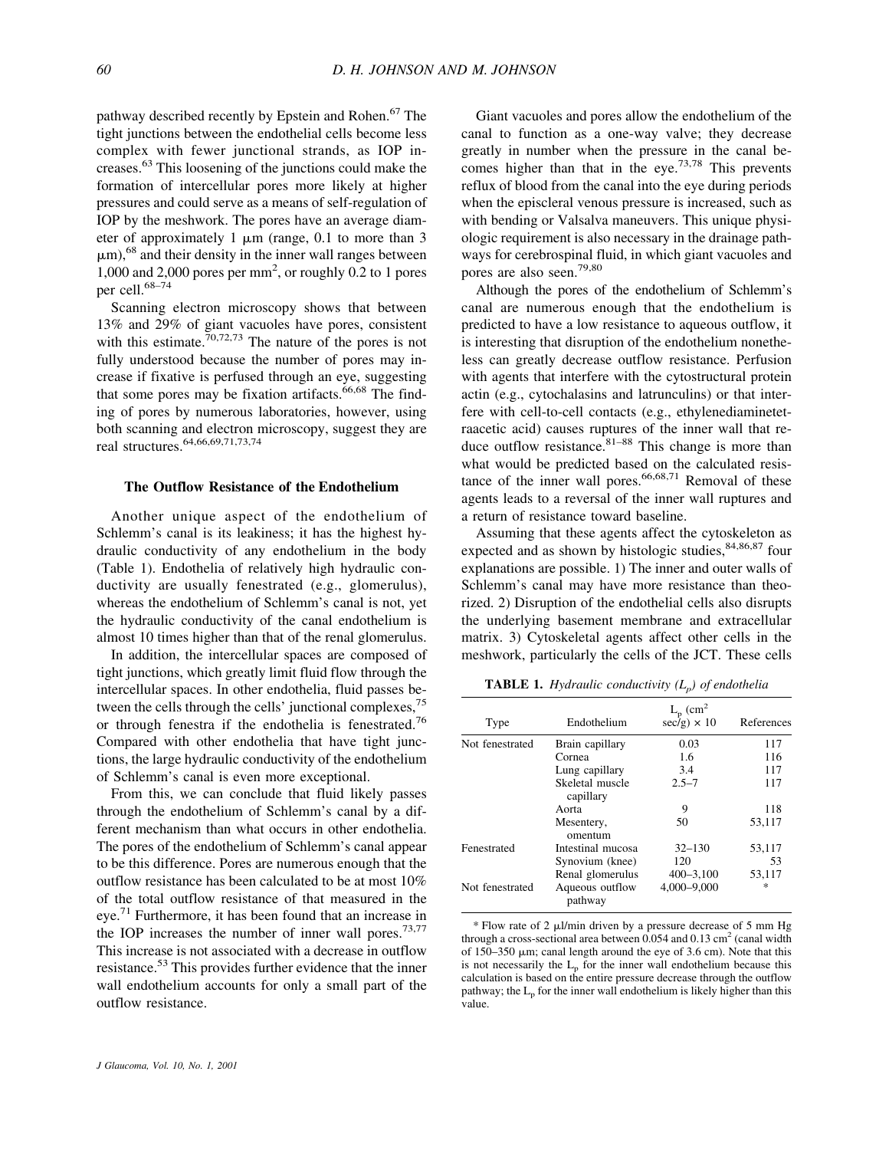pathway described recently by Epstein and Rohen.<sup>67</sup> The tight junctions between the endothelial cells become less complex with fewer junctional strands, as IOP increases.<sup>63</sup> This loosening of the junctions could make the formation of intercellular pores more likely at higher pressures and could serve as a means of self-regulation of IOP by the meshwork. The pores have an average diameter of approximately 1  $\mu$ m (range, 0.1 to more than 3  $\mu$ m),  $^{68}$  and their density in the inner wall ranges between 1,000 and 2,000 pores per mm2 , or roughly 0.2 to 1 pores per cell.68–74

Scanning electron microscopy shows that between 13% and 29% of giant vacuoles have pores, consistent with this estimate.<sup>70,72,73</sup> The nature of the pores is not fully understood because the number of pores may increase if fixative is perfused through an eye, suggesting that some pores may be fixation artifacts.<sup>66,68</sup> The finding of pores by numerous laboratories, however, using both scanning and electron microscopy, suggest they are real structures.64,66,69,71,73,74

## **The Outflow Resistance of the Endothelium**

Another unique aspect of the endothelium of Schlemm's canal is its leakiness; it has the highest hydraulic conductivity of any endothelium in the body (Table 1). Endothelia of relatively high hydraulic conductivity are usually fenestrated (e.g., glomerulus), whereas the endothelium of Schlemm's canal is not, yet the hydraulic conductivity of the canal endothelium is almost 10 times higher than that of the renal glomerulus.

In addition, the intercellular spaces are composed of tight junctions, which greatly limit fluid flow through the intercellular spaces. In other endothelia, fluid passes between the cells through the cells' junctional complexes,<sup>75</sup> or through fenestra if the endothelia is fenestrated.<sup>76</sup> Compared with other endothelia that have tight junctions, the large hydraulic conductivity of the endothelium of Schlemm's canal is even more exceptional.

From this, we can conclude that fluid likely passes through the endothelium of Schlemm's canal by a different mechanism than what occurs in other endothelia. The pores of the endothelium of Schlemm's canal appear to be this difference. Pores are numerous enough that the outflow resistance has been calculated to be at most 10% of the total outflow resistance of that measured in the eye.<sup>71</sup> Furthermore, it has been found that an increase in the IOP increases the number of inner wall pores.<sup>73,77</sup> This increase is not associated with a decrease in outflow resistance.53 This provides further evidence that the inner wall endothelium accounts for only a small part of the outflow resistance.

Giant vacuoles and pores allow the endothelium of the canal to function as a one-way valve; they decrease greatly in number when the pressure in the canal becomes higher than that in the eye.<sup>73,78</sup> This prevents reflux of blood from the canal into the eye during periods when the episcleral venous pressure is increased, such as with bending or Valsalva maneuvers. This unique physiologic requirement is also necessary in the drainage pathways for cerebrospinal fluid, in which giant vacuoles and pores are also seen.79,80

Although the pores of the endothelium of Schlemm's canal are numerous enough that the endothelium is predicted to have a low resistance to aqueous outflow, it is interesting that disruption of the endothelium nonetheless can greatly decrease outflow resistance. Perfusion with agents that interfere with the cytostructural protein actin (e.g., cytochalasins and latrunculins) or that interfere with cell-to-cell contacts (e.g., ethylenediaminetetraacetic acid) causes ruptures of the inner wall that reduce outflow resistance. $81-88$  This change is more than what would be predicted based on the calculated resistance of the inner wall pores.<sup>66,68,71</sup> Removal of these agents leads to a reversal of the inner wall ruptures and a return of resistance toward baseline.

Assuming that these agents affect the cytoskeleton as expected and as shown by histologic studies, <sup>84,86,87</sup> four explanations are possible. 1) The inner and outer walls of Schlemm's canal may have more resistance than theorized. 2) Disruption of the endothelial cells also disrupts the underlying basement membrane and extracellular matrix. 3) Cytoskeletal agents affect other cells in the meshwork, particularly the cells of the JCT. These cells

|                 |                              | $L_p$ (cm <sup>2</sup> |            |
|-----------------|------------------------------|------------------------|------------|
| Type            | Endothelium                  | $sec/g \times 10$      | References |
| Not fenestrated | Brain capillary              | 0.03                   | 117        |
|                 | Cornea                       | 1.6                    | 116        |
|                 | Lung capillary               | 3.4                    | 117        |
|                 | Skeletal muscle<br>capillary | $2.5 - 7$              | 117        |
|                 | Aorta                        | 9                      | 118        |
|                 | Mesentery,<br>omentum        | 50                     | 53.117     |
| Fenestrated     | Intestinal mucosa            | $32 - 130$             | 53,117     |
|                 | Synovium (knee)              | 120                    | 53         |
|                 | Renal glomerulus             | $400 - 3,100$          | 53,117     |
| Not fenestrated | Aqueous outflow<br>pathway   | 4,000-9,000            | 冰          |

 $*$  Flow rate of 2  $\mu$ l/min driven by a pressure decrease of 5 mm Hg through a cross-sectional area between  $0.054$  and  $0.13$  cm<sup>2</sup> (canal width of 150–350  $\mu$ m; canal length around the eye of 3.6 cm). Note that this is not necessarily the  $L_p$  for the inner wall endothelium because this calculation is based on the entire pressure decrease through the outflow pathway; the  $L_p$  for the inner wall endothelium is likely higher than this value.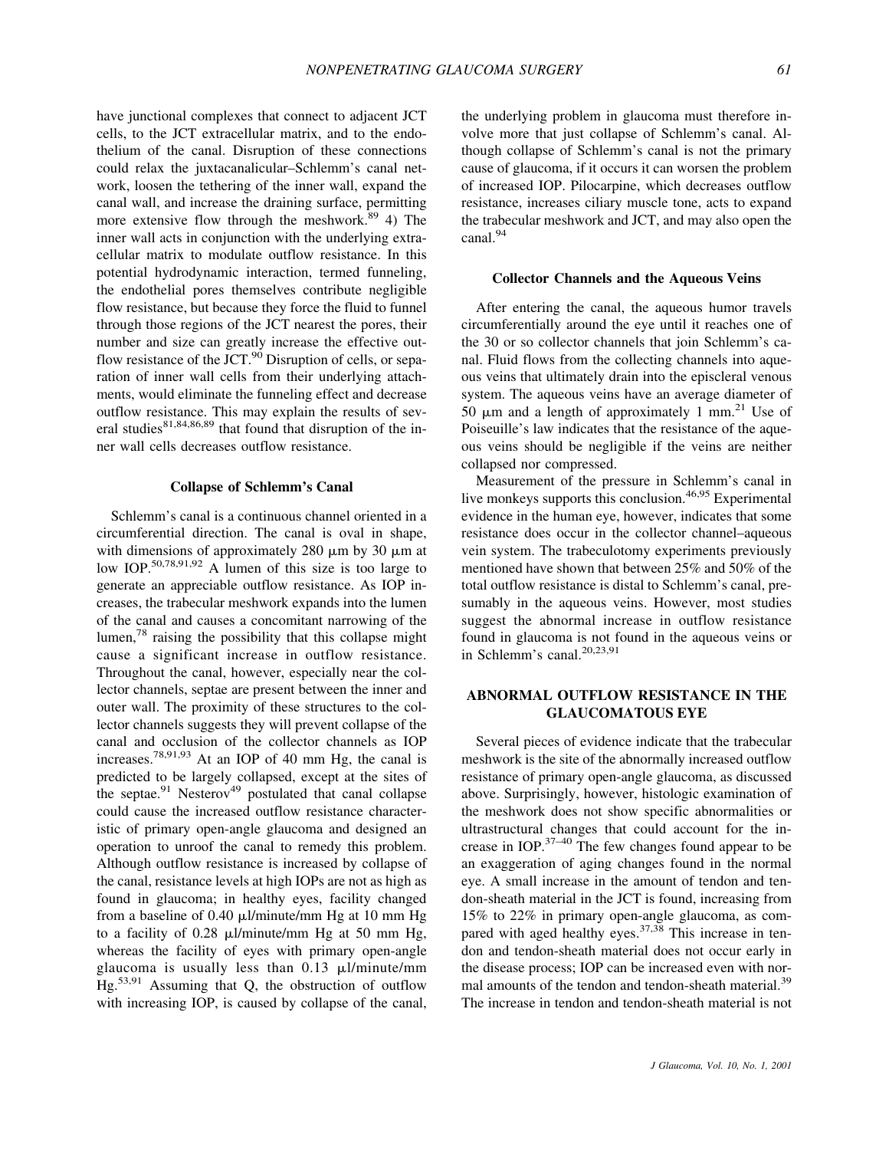have junctional complexes that connect to adjacent JCT cells, to the JCT extracellular matrix, and to the endothelium of the canal. Disruption of these connections could relax the juxtacanalicular–Schlemm's canal network, loosen the tethering of the inner wall, expand the canal wall, and increase the draining surface, permitting more extensive flow through the meshwork. $89$  4) The inner wall acts in conjunction with the underlying extracellular matrix to modulate outflow resistance. In this potential hydrodynamic interaction, termed funneling, the endothelial pores themselves contribute negligible flow resistance, but because they force the fluid to funnel through those regions of the JCT nearest the pores, their number and size can greatly increase the effective outflow resistance of the JCT. $90$  Disruption of cells, or separation of inner wall cells from their underlying attachments, would eliminate the funneling effect and decrease outflow resistance. This may explain the results of several studies $81,84,86,89$  that found that disruption of the inner wall cells decreases outflow resistance.

### **Collapse of Schlemm's Canal**

Schlemm's canal is a continuous channel oriented in a circumferential direction. The canal is oval in shape, with dimensions of approximately 280  $\mu$ m by 30  $\mu$ m at low IOP.<sup>50,78,91,92</sup> A lumen of this size is too large to generate an appreciable outflow resistance. As IOP increases, the trabecular meshwork expands into the lumen of the canal and causes a concomitant narrowing of the lumen, $^{78}$  raising the possibility that this collapse might cause a significant increase in outflow resistance. Throughout the canal, however, especially near the collector channels, septae are present between the inner and outer wall. The proximity of these structures to the collector channels suggests they will prevent collapse of the canal and occlusion of the collector channels as IOP increases.78,91,93 At an IOP of 40 mm Hg, the canal is predicted to be largely collapsed, except at the sites of the septae. $91$  Nesterov<sup>49</sup> postulated that canal collapse could cause the increased outflow resistance characteristic of primary open-angle glaucoma and designed an operation to unroof the canal to remedy this problem. Although outflow resistance is increased by collapse of the canal, resistance levels at high IOPs are not as high as found in glaucoma; in healthy eyes, facility changed from a baseline of 0.40  $\mu$ l/minute/mm Hg at 10 mm Hg to a facility of  $0.28 \mu$ l/minute/mm Hg at 50 mm Hg, whereas the facility of eyes with primary open-angle glaucoma is usually less than  $0.13 \mu$ l/minute/mm Hg.53,91 Assuming that Q, the obstruction of outflow with increasing IOP, is caused by collapse of the canal,

the underlying problem in glaucoma must therefore involve more that just collapse of Schlemm's canal. Although collapse of Schlemm's canal is not the primary cause of glaucoma, if it occurs it can worsen the problem of increased IOP. Pilocarpine, which decreases outflow resistance, increases ciliary muscle tone, acts to expand the trabecular meshwork and JCT, and may also open the canal.<sup>94</sup>

#### **Collector Channels and the Aqueous Veins**

After entering the canal, the aqueous humor travels circumferentially around the eye until it reaches one of the 30 or so collector channels that join Schlemm's canal. Fluid flows from the collecting channels into aqueous veins that ultimately drain into the episcleral venous system. The aqueous veins have an average diameter of 50  $\mu$ m and a length of approximately 1 mm.<sup>21</sup> Use of Poiseuille's law indicates that the resistance of the aqueous veins should be negligible if the veins are neither collapsed nor compressed.

Measurement of the pressure in Schlemm's canal in live monkeys supports this conclusion.<sup>46,95</sup> Experimental evidence in the human eye, however, indicates that some resistance does occur in the collector channel–aqueous vein system. The trabeculotomy experiments previously mentioned have shown that between 25% and 50% of the total outflow resistance is distal to Schlemm's canal, presumably in the aqueous veins. However, most studies suggest the abnormal increase in outflow resistance found in glaucoma is not found in the aqueous veins or in Schlemm's canal.<sup>20,23,91</sup>

## **ABNORMAL OUTFLOW RESISTANCE IN THE GLAUCOMATOUS EYE**

Several pieces of evidence indicate that the trabecular meshwork is the site of the abnormally increased outflow resistance of primary open-angle glaucoma, as discussed above. Surprisingly, however, histologic examination of the meshwork does not show specific abnormalities or ultrastructural changes that could account for the increase in IOP.37–40 The few changes found appear to be an exaggeration of aging changes found in the normal eye. A small increase in the amount of tendon and tendon-sheath material in the JCT is found, increasing from 15% to 22% in primary open-angle glaucoma, as compared with aged healthy eyes. $37,38$  This increase in tendon and tendon-sheath material does not occur early in the disease process; IOP can be increased even with normal amounts of the tendon and tendon-sheath material.<sup>39</sup> The increase in tendon and tendon-sheath material is not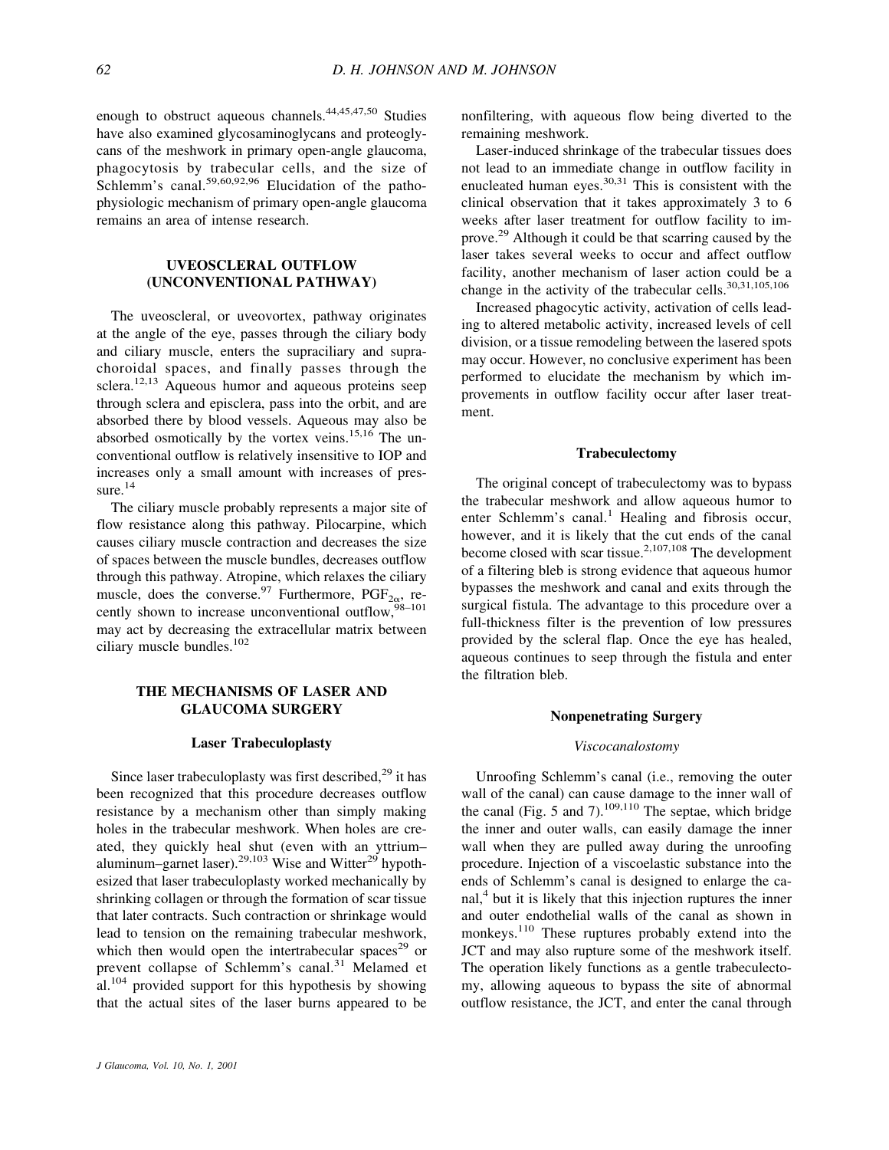enough to obstruct aqueous channels.<sup>44,45,47,50</sup> Studies have also examined glycosaminoglycans and proteoglycans of the meshwork in primary open-angle glaucoma, phagocytosis by trabecular cells, and the size of Schlemm's canal.<sup>59,60,92,96</sup> Elucidation of the pathophysiologic mechanism of primary open-angle glaucoma remains an area of intense research.

## **UVEOSCLERAL OUTFLOW (UNCONVENTIONAL PATHWAY)**

The uveoscleral, or uveovortex, pathway originates at the angle of the eye, passes through the ciliary body and ciliary muscle, enters the supraciliary and suprachoroidal spaces, and finally passes through the  $sclera.<sup>12,13</sup>$  Aqueous humor and aqueous proteins seep through sclera and episclera, pass into the orbit, and are absorbed there by blood vessels. Aqueous may also be absorbed osmotically by the vortex veins.<sup>15,16</sup> The unconventional outflow is relatively insensitive to IOP and increases only a small amount with increases of pressure. $14$ 

The ciliary muscle probably represents a major site of flow resistance along this pathway. Pilocarpine, which causes ciliary muscle contraction and decreases the size of spaces between the muscle bundles, decreases outflow through this pathway. Atropine, which relaxes the ciliary muscle, does the converse.<sup>97</sup> Furthermore,  $PGF_{2\alpha}$ , recently shown to increase unconventional outflow,  $98-101$ may act by decreasing the extracellular matrix between ciliary muscle bundles.102

## **THE MECHANISMS OF LASER AND GLAUCOMA SURGERY**

## **Laser Trabeculoplasty**

Since laser trabeculoplasty was first described, $29$  it has been recognized that this procedure decreases outflow resistance by a mechanism other than simply making holes in the trabecular meshwork. When holes are created, they quickly heal shut (even with an yttrium– aluminum–garnet laser).<sup>29,103</sup> Wise and Witter<sup>29</sup> hypothesized that laser trabeculoplasty worked mechanically by shrinking collagen or through the formation of scar tissue that later contracts. Such contraction or shrinkage would lead to tension on the remaining trabecular meshwork, which then would open the intertrabecular spaces<sup>29</sup> or prevent collapse of Schlemm's canal.<sup>31</sup> Melamed et  $al.<sup>104</sup>$  provided support for this hypothesis by showing that the actual sites of the laser burns appeared to be

nonfiltering, with aqueous flow being diverted to the remaining meshwork.

Laser-induced shrinkage of the trabecular tissues does not lead to an immediate change in outflow facility in enucleated human eyes. $30,31$  This is consistent with the clinical observation that it takes approximately 3 to 6 weeks after laser treatment for outflow facility to improve.29 Although it could be that scarring caused by the laser takes several weeks to occur and affect outflow facility, another mechanism of laser action could be a change in the activity of the trabecular cells.<sup>30,31,105,106</sup>

Increased phagocytic activity, activation of cells leading to altered metabolic activity, increased levels of cell division, or a tissue remodeling between the lasered spots may occur. However, no conclusive experiment has been performed to elucidate the mechanism by which improvements in outflow facility occur after laser treatment.

#### **Trabeculectomy**

The original concept of trabeculectomy was to bypass the trabecular meshwork and allow aqueous humor to enter Schlemm's canal.<sup>1</sup> Healing and fibrosis occur, however, and it is likely that the cut ends of the canal become closed with scar tissue.2,107,108 The development of a filtering bleb is strong evidence that aqueous humor bypasses the meshwork and canal and exits through the surgical fistula. The advantage to this procedure over a full-thickness filter is the prevention of low pressures provided by the scleral flap. Once the eye has healed, aqueous continues to seep through the fistula and enter the filtration bleb.

## **Nonpenetrating Surgery**

#### *Viscocanalostomy*

Unroofing Schlemm's canal (i.e., removing the outer wall of the canal) can cause damage to the inner wall of the canal (Fig. 5 and 7).<sup>109,110</sup> The septae, which bridge the inner and outer walls, can easily damage the inner wall when they are pulled away during the unroofing procedure. Injection of a viscoelastic substance into the ends of Schlemm's canal is designed to enlarge the canal, $<sup>4</sup>$  but it is likely that this injection ruptures the inner</sup> and outer endothelial walls of the canal as shown in monkeys.<sup>110</sup> These ruptures probably extend into the JCT and may also rupture some of the meshwork itself. The operation likely functions as a gentle trabeculectomy, allowing aqueous to bypass the site of abnormal outflow resistance, the JCT, and enter the canal through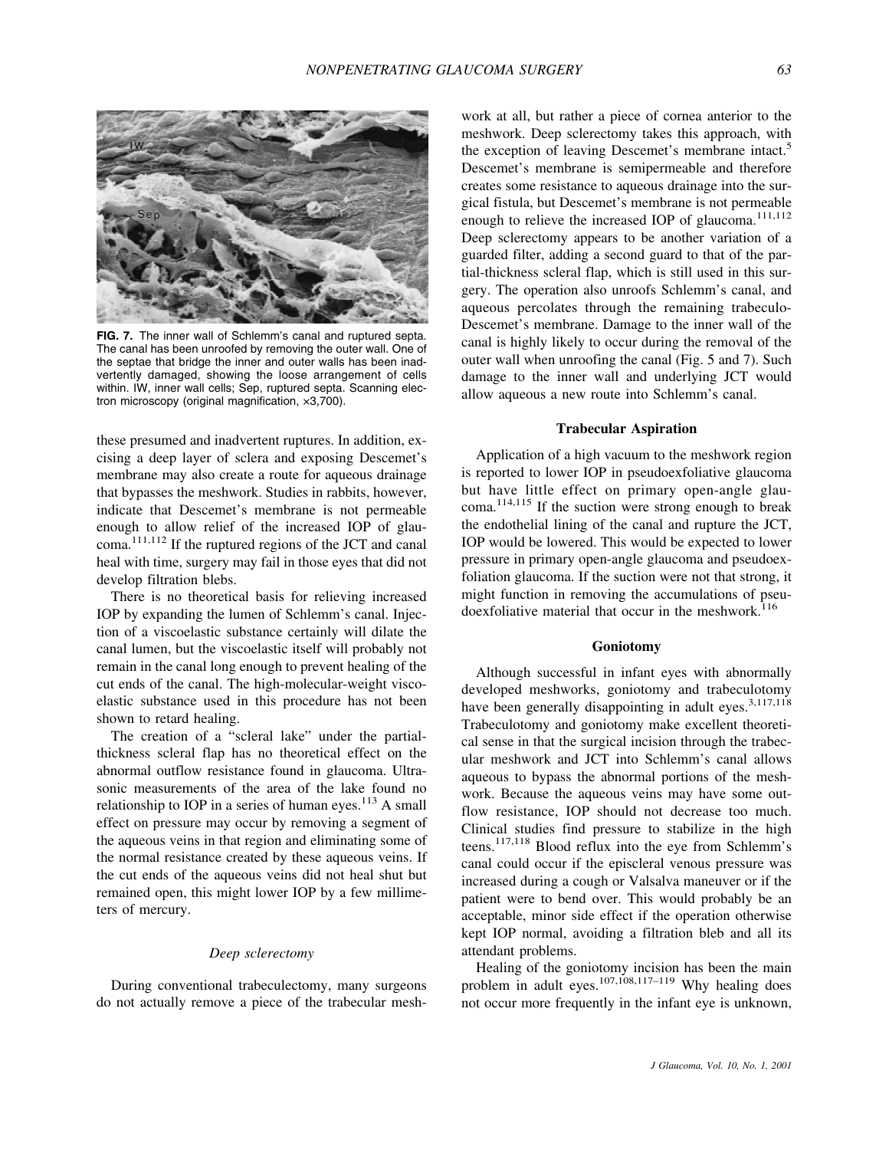

**FIG. 7.** The inner wall of Schlemm's canal and ruptured septa. The canal has been unroofed by removing the outer wall. One of the septae that bridge the inner and outer walls has been inadvertently damaged, showing the loose arrangement of cells within. IW, inner wall cells; Sep, ruptured septa. Scanning electron microscopy (original magnification, ×3,700).

these presumed and inadvertent ruptures. In addition, excising a deep layer of sclera and exposing Descemet's membrane may also create a route for aqueous drainage that bypasses the meshwork. Studies in rabbits, however, indicate that Descemet's membrane is not permeable enough to allow relief of the increased IOP of glaucoma.111,112 If the ruptured regions of the JCT and canal heal with time, surgery may fail in those eyes that did not develop filtration blebs.

There is no theoretical basis for relieving increased IOP by expanding the lumen of Schlemm's canal. Injection of a viscoelastic substance certainly will dilate the canal lumen, but the viscoelastic itself will probably not remain in the canal long enough to prevent healing of the cut ends of the canal. The high-molecular-weight viscoelastic substance used in this procedure has not been shown to retard healing.

The creation of a "scleral lake" under the partialthickness scleral flap has no theoretical effect on the abnormal outflow resistance found in glaucoma. Ultrasonic measurements of the area of the lake found no relationship to IOP in a series of human eyes. $113$  A small effect on pressure may occur by removing a segment of the aqueous veins in that region and eliminating some of the normal resistance created by these aqueous veins. If the cut ends of the aqueous veins did not heal shut but remained open, this might lower IOP by a few millimeters of mercury.

#### *Deep sclerectomy*

During conventional trabeculectomy, many surgeons do not actually remove a piece of the trabecular meshwork at all, but rather a piece of cornea anterior to the meshwork. Deep sclerectomy takes this approach, with the exception of leaving Descemet's membrane intact.<sup>5</sup> Descemet's membrane is semipermeable and therefore creates some resistance to aqueous drainage into the surgical fistula, but Descemet's membrane is not permeable enough to relieve the increased IOP of glaucoma. $111,112$ Deep sclerectomy appears to be another variation of a guarded filter, adding a second guard to that of the partial-thickness scleral flap, which is still used in this surgery. The operation also unroofs Schlemm's canal, and aqueous percolates through the remaining trabeculo-Descemet's membrane. Damage to the inner wall of the canal is highly likely to occur during the removal of the outer wall when unroofing the canal (Fig. 5 and 7). Such damage to the inner wall and underlying JCT would allow aqueous a new route into Schlemm's canal.

#### **Trabecular Aspiration**

Application of a high vacuum to the meshwork region is reported to lower IOP in pseudoexfoliative glaucoma but have little effect on primary open-angle glaucoma.114,115 If the suction were strong enough to break the endothelial lining of the canal and rupture the JCT, IOP would be lowered. This would be expected to lower pressure in primary open-angle glaucoma and pseudoexfoliation glaucoma. If the suction were not that strong, it might function in removing the accumulations of pseudoexfoliative material that occur in the meshwork.<sup>116</sup>

## **Goniotomy**

Although successful in infant eyes with abnormally developed meshworks, goniotomy and trabeculotomy have been generally disappointing in adult eyes. $3,117,118$ Trabeculotomy and goniotomy make excellent theoretical sense in that the surgical incision through the trabecular meshwork and JCT into Schlemm's canal allows aqueous to bypass the abnormal portions of the meshwork. Because the aqueous veins may have some outflow resistance, IOP should not decrease too much. Clinical studies find pressure to stabilize in the high teens.117,118 Blood reflux into the eye from Schlemm's canal could occur if the episcleral venous pressure was increased during a cough or Valsalva maneuver or if the patient were to bend over. This would probably be an acceptable, minor side effect if the operation otherwise kept IOP normal, avoiding a filtration bleb and all its attendant problems.

Healing of the goniotomy incision has been the main problem in adult eyes.<sup>107,108,117–119</sup> Why healing does not occur more frequently in the infant eye is unknown,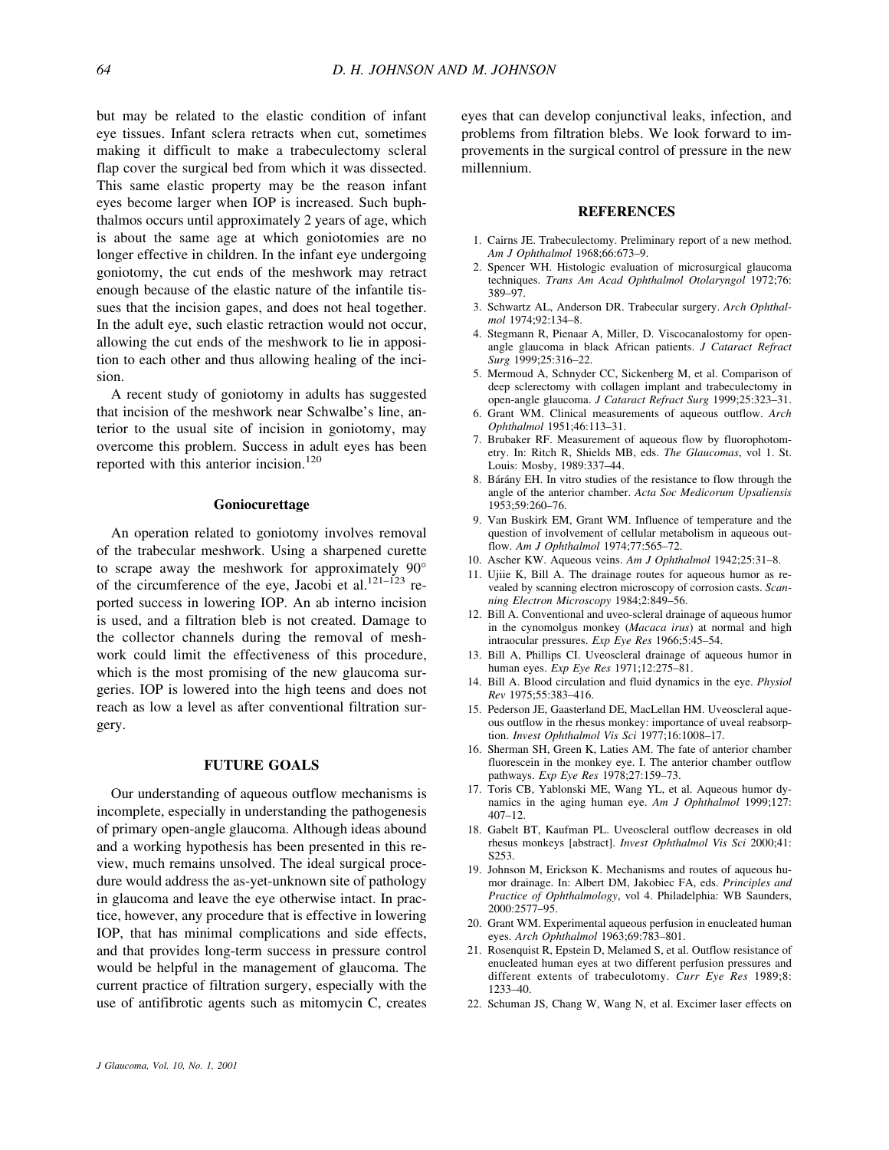but may be related to the elastic condition of infant eye tissues. Infant sclera retracts when cut, sometimes making it difficult to make a trabeculectomy scleral flap cover the surgical bed from which it was dissected. This same elastic property may be the reason infant eyes become larger when IOP is increased. Such buphthalmos occurs until approximately 2 years of age, which is about the same age at which goniotomies are no longer effective in children. In the infant eye undergoing goniotomy, the cut ends of the meshwork may retract enough because of the elastic nature of the infantile tissues that the incision gapes, and does not heal together. In the adult eye, such elastic retraction would not occur, allowing the cut ends of the meshwork to lie in apposition to each other and thus allowing healing of the incision.

A recent study of goniotomy in adults has suggested that incision of the meshwork near Schwalbe's line, anterior to the usual site of incision in goniotomy, may overcome this problem. Success in adult eyes has been reported with this anterior incision.<sup>120</sup>

#### **Goniocurettage**

An operation related to goniotomy involves removal of the trabecular meshwork. Using a sharpened curette to scrape away the meshwork for approximately 90° of the circumference of the eye, Jacobi et al. $121-123$  reported success in lowering IOP. An ab interno incision is used, and a filtration bleb is not created. Damage to the collector channels during the removal of meshwork could limit the effectiveness of this procedure, which is the most promising of the new glaucoma surgeries. IOP is lowered into the high teens and does not reach as low a level as after conventional filtration surgery.

## **FUTURE GOALS**

Our understanding of aqueous outflow mechanisms is incomplete, especially in understanding the pathogenesis of primary open-angle glaucoma. Although ideas abound and a working hypothesis has been presented in this review, much remains unsolved. The ideal surgical procedure would address the as-yet-unknown site of pathology in glaucoma and leave the eye otherwise intact. In practice, however, any procedure that is effective in lowering IOP, that has minimal complications and side effects, and that provides long-term success in pressure control would be helpful in the management of glaucoma. The current practice of filtration surgery, especially with the use of antifibrotic agents such as mitomycin C, creates

eyes that can develop conjunctival leaks, infection, and problems from filtration blebs. We look forward to improvements in the surgical control of pressure in the new millennium.

#### **REFERENCES**

- 1. Cairns JE. Trabeculectomy. Preliminary report of a new method. *Am J Ophthalmol* 1968;66:673–9.
- 2. Spencer WH. Histologic evaluation of microsurgical glaucoma techniques. *Trans Am Acad Ophthalmol Otolaryngol* 1972;76: 389–97.
- 3. Schwartz AL, Anderson DR. Trabecular surgery. *Arch Ophthalmol* 1974;92:134–8.
- 4. Stegmann R, Pienaar A, Miller, D. Viscocanalostomy for openangle glaucoma in black African patients. *J Cataract Refract Surg* 1999;25:316–22.
- 5. Mermoud A, Schnyder CC, Sickenberg M, et al. Comparison of deep sclerectomy with collagen implant and trabeculectomy in open-angle glaucoma. *J Cataract Refract Surg* 1999;25:323–31.
- 6. Grant WM. Clinical measurements of aqueous outflow. *Arch Ophthalmol* 1951;46:113–31.
- 7. Brubaker RF. Measurement of aqueous flow by fluorophotometry. In: Ritch R, Shields MB, eds. *The Glaucomas*, vol 1. St. Louis: Mosby, 1989:337–44.
- 8. Bárány EH. In vitro studies of the resistance to flow through the angle of the anterior chamber. *Acta Soc Medicorum Upsaliensis* 1953;59:260–76.
- 9. Van Buskirk EM, Grant WM. Influence of temperature and the question of involvement of cellular metabolism in aqueous outflow. *Am J Ophthalmol* 1974;77:565–72.
- 10. Ascher KW. Aqueous veins. *Am J Ophthalmol* 1942;25:31–8.
- 11. Ujiie K, Bill A. The drainage routes for aqueous humor as revealed by scanning electron microscopy of corrosion casts. *Scanning Electron Microscopy* 1984;2:849–56.
- 12. Bill A. Conventional and uveo-scleral drainage of aqueous humor in the cynomolgus monkey (*Macaca irus*) at normal and high intraocular pressures. *Exp Eye Res* 1966;5:45–54.
- 13. Bill A, Phillips CI. Uveoscleral drainage of aqueous humor in human eyes. *Exp Eye Res* 1971;12:275–81.
- 14. Bill A. Blood circulation and fluid dynamics in the eye. *Physiol Rev* 1975;55:383–416.
- 15. Pederson JE, Gaasterland DE, MacLellan HM. Uveoscleral aqueous outflow in the rhesus monkey: importance of uveal reabsorption. *Invest Ophthalmol Vis Sci* 1977;16:1008–17.
- 16. Sherman SH, Green K, Laties AM. The fate of anterior chamber fluorescein in the monkey eye. I. The anterior chamber outflow pathways. *Exp Eye Res* 1978;27:159–73.
- 17. Toris CB, Yablonski ME, Wang YL, et al. Aqueous humor dynamics in the aging human eye. *Am J Ophthalmol* 1999;127: 407–12.
- 18. Gabelt BT, Kaufman PL. Uveoscleral outflow decreases in old rhesus monkeys [abstract]. *Invest Ophthalmol Vis Sci* 2000;41: S253.
- 19. Johnson M, Erickson K. Mechanisms and routes of aqueous humor drainage. In: Albert DM, Jakobiec FA, eds. *Principles and Practice of Ophthalmology*, vol 4. Philadelphia: WB Saunders, 2000:2577–95.
- 20. Grant WM. Experimental aqueous perfusion in enucleated human eyes. *Arch Ophthalmol* 1963;69:783–801.
- 21. Rosenquist R, Epstein D, Melamed S, et al. Outflow resistance of enucleated human eyes at two different perfusion pressures and different extents of trabeculotomy. *Curr Eye Res* 1989;8: 1233–40.
- 22. Schuman JS, Chang W, Wang N, et al. Excimer laser effects on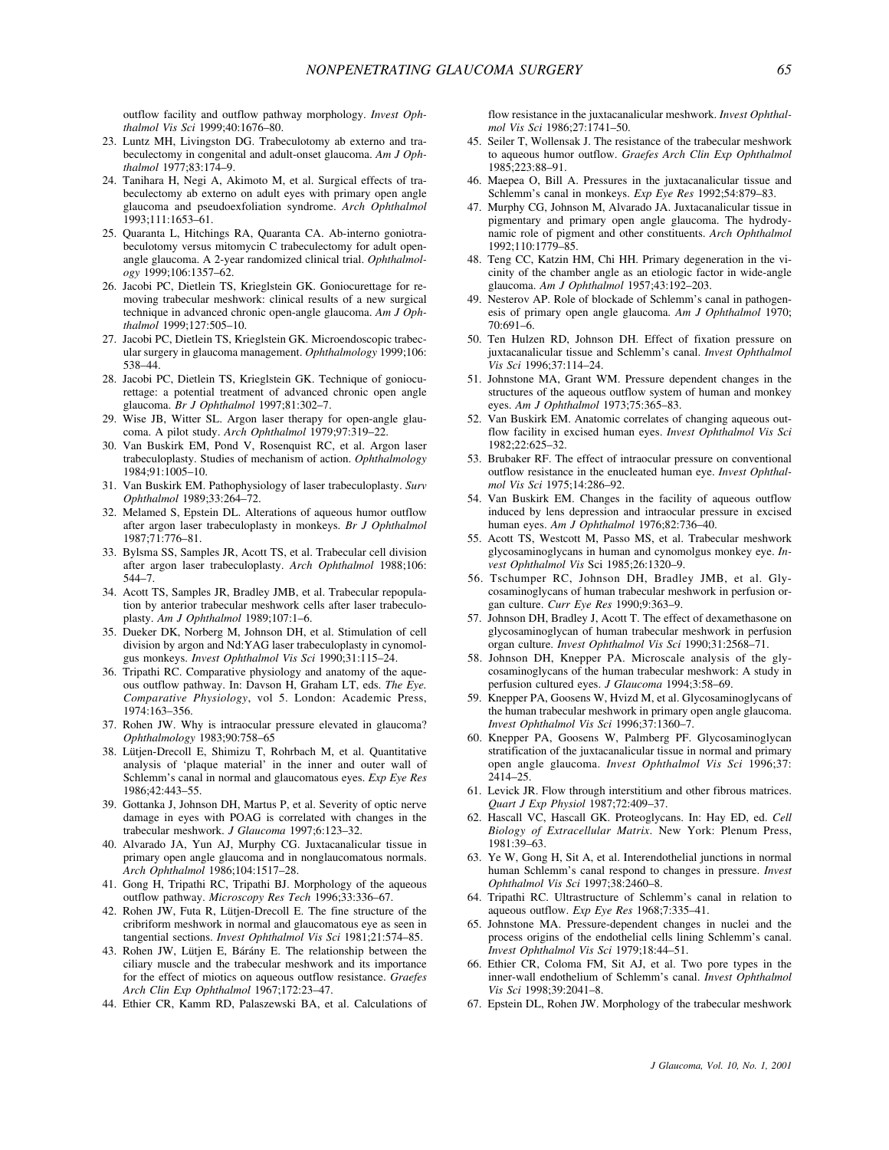outflow facility and outflow pathway morphology. *Invest Ophthalmol Vis Sci* 1999;40:1676–80.

- 23. Luntz MH, Livingston DG. Trabeculotomy ab externo and trabeculectomy in congenital and adult-onset glaucoma. *Am J Ophthalmol* 1977;83:174–9.
- 24. Tanihara H, Negi A, Akimoto M, et al. Surgical effects of trabeculectomy ab externo on adult eyes with primary open angle glaucoma and pseudoexfoliation syndrome. *Arch Ophthalmol* 1993;111:1653–61.
- 25. Quaranta L, Hitchings RA, Quaranta CA. Ab-interno goniotrabeculotomy versus mitomycin C trabeculectomy for adult openangle glaucoma. A 2-year randomized clinical trial. *Ophthalmology* 1999;106:1357–62.
- 26. Jacobi PC, Dietlein TS, Krieglstein GK. Goniocurettage for removing trabecular meshwork: clinical results of a new surgical technique in advanced chronic open-angle glaucoma. *Am J Ophthalmol* 1999;127:505–10.
- 27. Jacobi PC, Dietlein TS, Krieglstein GK. Microendoscopic trabecular surgery in glaucoma management. *Ophthalmology* 1999;106: 538–44.
- 28. Jacobi PC, Dietlein TS, Krieglstein GK. Technique of goniocurettage: a potential treatment of advanced chronic open angle glaucoma. *Br J Ophthalmol* 1997;81:302–7.
- 29. Wise JB, Witter SL. Argon laser therapy for open-angle glaucoma. A pilot study. *Arch Ophthalmol* 1979;97:319–22.
- 30. Van Buskirk EM, Pond V, Rosenquist RC, et al. Argon laser trabeculoplasty. Studies of mechanism of action. *Ophthalmology* 1984;91:1005–10.
- 31. Van Buskirk EM. Pathophysiology of laser trabeculoplasty. *Surv Ophthalmol* 1989;33:264–72.
- 32. Melamed S, Epstein DL. Alterations of aqueous humor outflow after argon laser trabeculoplasty in monkeys. *Br J Ophthalmol* 1987;71:776–81.
- 33. Bylsma SS, Samples JR, Acott TS, et al. Trabecular cell division after argon laser trabeculoplasty. *Arch Ophthalmol* 1988;106: 544–7.
- 34. Acott TS, Samples JR, Bradley JMB, et al. Trabecular repopulation by anterior trabecular meshwork cells after laser trabeculoplasty. *Am J Ophthalmol* 1989;107:1–6.
- 35. Dueker DK, Norberg M, Johnson DH, et al. Stimulation of cell division by argon and Nd:YAG laser trabeculoplasty in cynomolgus monkeys. *Invest Ophthalmol Vis Sci* 1990;31:115–24.
- 36. Tripathi RC. Comparative physiology and anatomy of the aqueous outflow pathway. In: Davson H, Graham LT, eds. *The Eye. Comparative Physiology*, vol 5. London: Academic Press, 1974:163–356.
- 37. Rohen JW. Why is intraocular pressure elevated in glaucoma? *Ophthalmology* 1983;90:758–65
- 38. Lütjen-Drecoll E, Shimizu T, Rohrbach M, et al. Quantitative analysis of 'plaque material' in the inner and outer wall of Schlemm's canal in normal and glaucomatous eyes. *Exp Eye Res* 1986;42:443–55.
- 39. Gottanka J, Johnson DH, Martus P, et al. Severity of optic nerve damage in eyes with POAG is correlated with changes in the trabecular meshwork. *J Glaucoma* 1997;6:123–32.
- 40. Alvarado JA, Yun AJ, Murphy CG. Juxtacanalicular tissue in primary open angle glaucoma and in nonglaucomatous normals. *Arch Ophthalmol* 1986;104:1517–28.
- 41. Gong H, Tripathi RC, Tripathi BJ. Morphology of the aqueous outflow pathway. *Microscopy Res Tech* 1996;33:336–67.
- 42. Rohen JW, Futa R, Lütjen-Drecoll E. The fine structure of the cribriform meshwork in normal and glaucomatous eye as seen in tangential sections. *Invest Ophthalmol Vis Sci* 1981;21:574–85.
- 43. Rohen JW, Lütjen E, Bárány E. The relationship between the ciliary muscle and the trabecular meshwork and its importance for the effect of miotics on aqueous outflow resistance. *Graefes Arch Clin Exp Ophthalmol* 1967;172:23–47.
- 44. Ethier CR, Kamm RD, Palaszewski BA, et al. Calculations of

flow resistance in the juxtacanalicular meshwork. *Invest Ophthalmol Vis Sci* 1986;27:1741–50.

- 45. Seiler T, Wollensak J. The resistance of the trabecular meshwork to aqueous humor outflow. *Graefes Arch Clin Exp Ophthalmol* 1985;223:88–91.
- 46. Maepea O, Bill A. Pressures in the juxtacanalicular tissue and Schlemm's canal in monkeys. *Exp Eye Res* 1992;54:879–83.
- 47. Murphy CG, Johnson M, Alvarado JA. Juxtacanalicular tissue in pigmentary and primary open angle glaucoma. The hydrodynamic role of pigment and other constituents. *Arch Ophthalmol* 1992;110:1779–85.
- 48. Teng CC, Katzin HM, Chi HH. Primary degeneration in the vicinity of the chamber angle as an etiologic factor in wide-angle glaucoma. *Am J Ophthalmol* 1957;43:192–203.
- 49. Nesterov AP. Role of blockade of Schlemm's canal in pathogenesis of primary open angle glaucoma. *Am J Ophthalmol* 1970; 70:691–6.
- 50. Ten Hulzen RD, Johnson DH. Effect of fixation pressure on juxtacanalicular tissue and Schlemm's canal. *Invest Ophthalmol Vis Sci* 1996;37:114–24.
- 51. Johnstone MA, Grant WM. Pressure dependent changes in the structures of the aqueous outflow system of human and monkey eyes. *Am J Ophthalmol* 1973;75:365–83.
- 52. Van Buskirk EM. Anatomic correlates of changing aqueous outflow facility in excised human eyes. *Invest Ophthalmol Vis Sci* 1982;22:625–32.
- 53. Brubaker RF. The effect of intraocular pressure on conventional outflow resistance in the enucleated human eye. *Invest Ophthalmol Vis Sci* 1975;14:286–92.
- 54. Van Buskirk EM. Changes in the facility of aqueous outflow induced by lens depression and intraocular pressure in excised human eyes. *Am J Ophthalmol* 1976;82:736–40.
- 55. Acott TS, Westcott M, Passo MS, et al. Trabecular meshwork glycosaminoglycans in human and cynomolgus monkey eye. *Invest Ophthalmol Vis* Sci 1985;26:1320–9.
- 56. Tschumper RC, Johnson DH, Bradley JMB, et al. Glycosaminoglycans of human trabecular meshwork in perfusion organ culture. *Curr Eye Res* 1990;9:363–9.
- 57. Johnson DH, Bradley J, Acott T. The effect of dexamethasone on glycosaminoglycan of human trabecular meshwork in perfusion organ culture. *Invest Ophthalmol Vis Sci* 1990;31:2568–71.
- 58. Johnson DH, Knepper PA. Microscale analysis of the glycosaminoglycans of the human trabecular meshwork: A study in perfusion cultured eyes. *J Glaucoma* 1994;3:58–69.
- 59. Knepper PA, Goosens W, Hvizd M, et al. Glycosaminoglycans of the human trabecular meshwork in primary open angle glaucoma. *Invest Ophthalmol Vis Sci* 1996;37:1360–7.
- 60. Knepper PA, Goosens W, Palmberg PF. Glycosaminoglycan stratification of the juxtacanalicular tissue in normal and primary open angle glaucoma. *Invest Ophthalmol Vis Sci* 1996;37: 2414–25.
- 61. Levick JR. Flow through interstitium and other fibrous matrices. *Quart J Exp Physiol* 1987;72:409–37.
- 62. Hascall VC, Hascall GK. Proteoglycans. In: Hay ED, ed. *Cell Biology of Extracellular Matrix*. New York: Plenum Press, 1981:39–63.
- 63. Ye W, Gong H, Sit A, et al. Interendothelial junctions in normal human Schlemm's canal respond to changes in pressure. *Invest Ophthalmol Vis Sci* 1997;38:2460–8.
- 64. Tripathi RC. Ultrastructure of Schlemm's canal in relation to aqueous outflow. *Exp Eye Res* 1968;7:335–41.
- 65. Johnstone MA. Pressure-dependent changes in nuclei and the process origins of the endothelial cells lining Schlemm's canal. *Invest Ophthalmol Vis Sci* 1979;18:44–51.
- 66. Ethier CR, Coloma FM, Sit AJ, et al. Two pore types in the inner-wall endothelium of Schlemm's canal. *Invest Ophthalmol Vis Sci* 1998;39:2041–8.
- 67. Epstein DL, Rohen JW. Morphology of the trabecular meshwork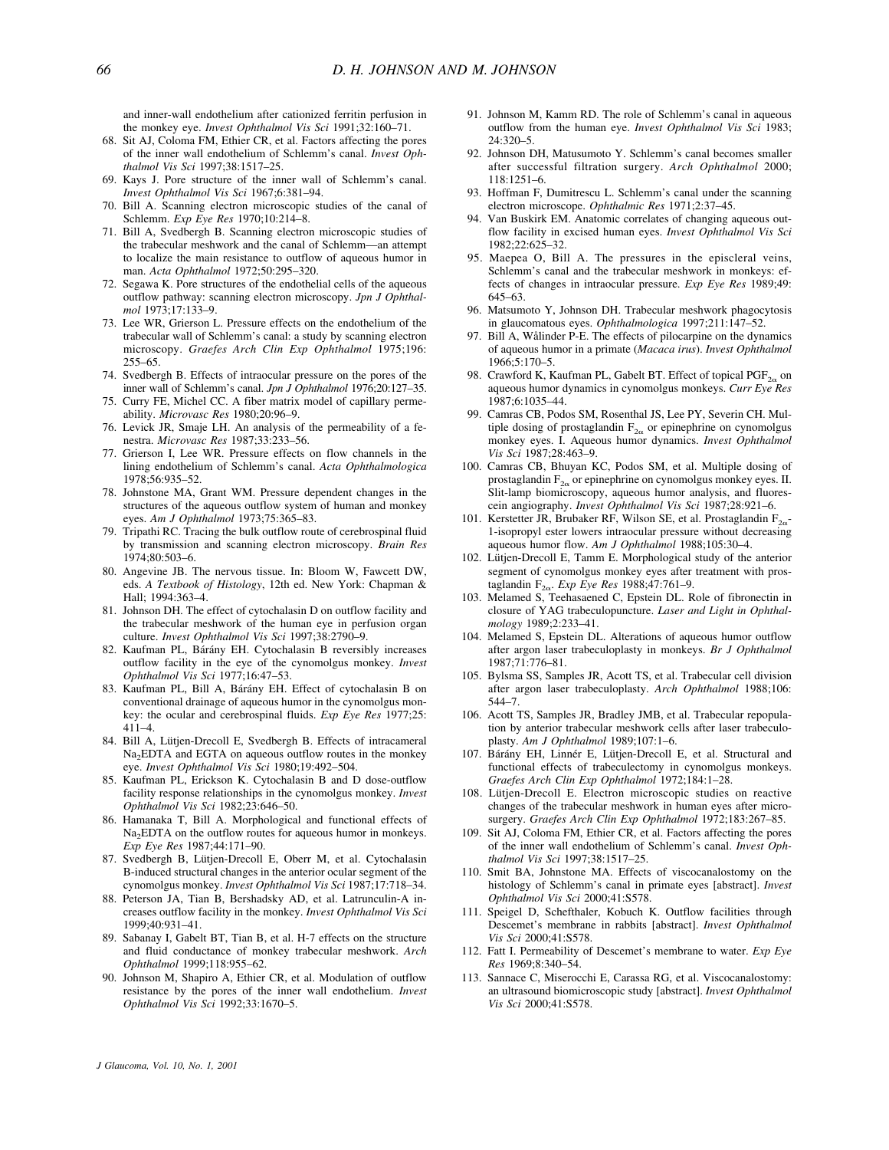and inner-wall endothelium after cationized ferritin perfusion in the monkey eye. *Invest Ophthalmol Vis Sci* 1991;32:160–71.

- 68. Sit AJ, Coloma FM, Ethier CR, et al. Factors affecting the pores of the inner wall endothelium of Schlemm's canal. *Invest Ophthalmol Vis Sci* 1997;38:1517–25.
- 69. Kays J. Pore structure of the inner wall of Schlemm's canal. *Invest Ophthalmol Vis Sci* 1967;6:381–94.
- 70. Bill A. Scanning electron microscopic studies of the canal of Schlemm. *Exp Eye Res* 1970;10:214–8.
- 71. Bill A, Svedbergh B. Scanning electron microscopic studies of the trabecular meshwork and the canal of Schlemm—an attempt to localize the main resistance to outflow of aqueous humor in man. *Acta Ophthalmol* 1972;50:295–320.
- 72. Segawa K. Pore structures of the endothelial cells of the aqueous outflow pathway: scanning electron microscopy. *Jpn J Ophthalmol* 1973;17:133–9.
- 73. Lee WR, Grierson L. Pressure effects on the endothelium of the trabecular wall of Schlemm's canal: a study by scanning electron microscopy. *Graefes Arch Clin Exp Ophthalmol* 1975;196: 255–65.
- 74. Svedbergh B. Effects of intraocular pressure on the pores of the inner wall of Schlemm's canal. *Jpn J Ophthalmol* 1976;20:127–35.
- 75. Curry FE, Michel CC. A fiber matrix model of capillary permeability. *Microvasc Res* 1980;20:96–9.
- 76. Levick JR, Smaje LH. An analysis of the permeability of a fenestra. *Microvasc Res* 1987;33:233–56.
- 77. Grierson I, Lee WR. Pressure effects on flow channels in the lining endothelium of Schlemm's canal. *Acta Ophthalmologica* 1978;56:935–52.
- 78. Johnstone MA, Grant WM. Pressure dependent changes in the structures of the aqueous outflow system of human and monkey eyes. *Am J Ophthalmol* 1973;75:365–83.
- 79. Tripathi RC. Tracing the bulk outflow route of cerebrospinal fluid by transmission and scanning electron microscopy. *Brain Res* 1974;80:503–6.
- 80. Angevine JB. The nervous tissue. In: Bloom W, Fawcett DW, eds. *A Textbook of Histology*, 12th ed. New York: Chapman & Hall; 1994:363–4.
- 81. Johnson DH. The effect of cytochalasin D on outflow facility and the trabecular meshwork of the human eye in perfusion organ culture. *Invest Ophthalmol Vis Sci* 1997;38:2790–9.
- 82. Kaufman PL, Bárány EH. Cytochalasin B reversibly increases outflow facility in the eye of the cynomolgus monkey. *Invest Ophthalmol Vis Sci* 1977;16:47–53.
- 83. Kaufman PL, Bill A, Bárány EH. Effect of cytochalasin B on conventional drainage of aqueous humor in the cynomolgus monkey: the ocular and cerebrospinal fluids. *Exp Eye Res* 1977;25: 411–4.
- 84. Bill A, Lütjen-Drecoll E, Svedbergh B. Effects of intracameral  $Na<sub>2</sub>EDTA$  and EGTA on aqueous outflow routes in the monkey eye. *Invest Ophthalmol Vis Sci* 1980;19:492–504.
- 85. Kaufman PL, Erickson K. Cytochalasin B and D dose-outflow facility response relationships in the cynomolgus monkey. *Invest Ophthalmol Vis Sci* 1982;23:646–50.
- 86. Hamanaka T, Bill A. Morphological and functional effects of Na<sub>2</sub>EDTA on the outflow routes for aqueous humor in monkeys. *Exp Eye Res* 1987;44:171–90.
- 87. Svedbergh B, Lütjen-Drecoll E, Oberr M, et al. Cytochalasin B-induced structural changes in the anterior ocular segment of the cynomolgus monkey. *Invest Ophthalmol Vis Sci* 1987;17:718–34.
- 88. Peterson JA, Tian B, Bershadsky AD, et al. Latrunculin-A increases outflow facility in the monkey. *Invest Ophthalmol Vis Sci* 1999;40:931–41.
- 89. Sabanay I, Gabelt BT, Tian B, et al. H-7 effects on the structure and fluid conductance of monkey trabecular meshwork. *Arch Ophthalmol* 1999;118:955–62.
- 90. Johnson M, Shapiro A, Ethier CR, et al. Modulation of outflow resistance by the pores of the inner wall endothelium. *Invest Ophthalmol Vis Sci* 1992;33:1670–5.
- 91. Johnson M, Kamm RD. The role of Schlemm's canal in aqueous outflow from the human eye. *Invest Ophthalmol Vis Sci* 1983; 24:320–5.
- 92. Johnson DH, Matusumoto Y. Schlemm's canal becomes smaller after successful filtration surgery. *Arch Ophthalmol* 2000; 118:1251–6.
- 93. Hoffman F, Dumitrescu L. Schlemm's canal under the scanning electron microscope. *Ophthalmic Res* 1971;2:37–45.
- 94. Van Buskirk EM. Anatomic correlates of changing aqueous outflow facility in excised human eyes. *Invest Ophthalmol Vis Sci* 1982;22:625–32.
- 95. Maepea O, Bill A. The pressures in the episcleral veins, Schlemm's canal and the trabecular meshwork in monkeys: effects of changes in intraocular pressure. *Exp Eye Res* 1989;49: 645–63.
- 96. Matsumoto Y, Johnson DH. Trabecular meshwork phagocytosis in glaucomatous eyes. *Ophthalmologica* 1997;211:147–52.
- 97. Bill A, Wålinder P-E. The effects of pilocarpine on the dynamics of aqueous humor in a primate (*Macaca irus*). *Invest Ophthalmol* 1966;5:170–5.
- 98. Crawford K, Kaufman PL, Gabelt BT. Effect of topical  $\mathrm{PGF}_{2\alpha}$  on aqueous humor dynamics in cynomolgus monkeys. *Curr Eye Res* 1987;6:1035–44.
- 99. Camras CB, Podos SM, Rosenthal JS, Lee PY, Severin CH. Multiple dosing of prostaglandin  $F_{2\alpha}$  or epinephrine on cynomolgus monkey eyes. I. Aqueous humor dynamics. *Invest Ophthalmol Vis Sci* 1987;28:463–9.
- 100. Camras CB, Bhuyan KC, Podos SM, et al. Multiple dosing of prostaglandin  $F_{2\alpha}$  or epinephrine on cynomolgus monkey eyes. II. Slit-lamp biomicroscopy, aqueous humor analysis, and fluorescein angiography. *Invest Ophthalmol Vis Sci* 1987;28:921–6.
- 101. Kerstetter JR, Brubaker RF, Wilson SE, et al. Prostaglandin  $F_{2\alpha}$ -1-isopropyl ester lowers intraocular pressure without decreasing aqueous humor flow. *Am J Ophthalmol* 1988;105:30–4.
- 102. Lütjen-Drecoll E, Tamm E. Morphological study of the anterior segment of cynomolgus monkey eyes after treatment with prostaglandin F2-. *Exp Eye Res* 1988;47:761–9.
- 103. Melamed S, Teehasaened C, Epstein DL. Role of fibronectin in closure of YAG trabeculopuncture. *Laser and Light in Ophthalmology* 1989;2:233–41.
- 104. Melamed S, Epstein DL. Alterations of aqueous humor outflow after argon laser trabeculoplasty in monkeys. *Br J Ophthalmol* 1987;71:776–81.
- 105. Bylsma SS, Samples JR, Acott TS, et al. Trabecular cell division after argon laser trabeculoplasty. *Arch Ophthalmol* 1988;106: 544–7.
- 106. Acott TS, Samples JR, Bradley JMB, et al. Trabecular repopulation by anterior trabecular meshwork cells after laser trabeculoplasty. *Am J Ophthalmol* 1989;107:1–6.
- 107. Bárány EH, Linnér E, Lütjen-Drecoll E, et al. Structural and functional effects of trabeculectomy in cynomolgus monkeys. *Graefes Arch Clin Exp Ophthalmol* 1972;184:1–28.
- 108. Lütjen-Drecoll E. Electron microscopic studies on reactive changes of the trabecular meshwork in human eyes after microsurgery. *Graefes Arch Clin Exp Ophthalmol* 1972;183:267–85.
- 109. Sit AJ, Coloma FM, Ethier CR, et al. Factors affecting the pores of the inner wall endothelium of Schlemm's canal. *Invest Ophthalmol Vis Sci* 1997;38:1517–25.
- 110. Smit BA, Johnstone MA. Effects of viscocanalostomy on the histology of Schlemm's canal in primate eyes [abstract]. *Invest Ophthalmol Vis Sci* 2000;41:S578.
- 111. Speigel D, Schefthaler, Kobuch K. Outflow facilities through Descemet's membrane in rabbits [abstract]. *Invest Ophthalmol Vis Sci* 2000;41:S578.
- 112. Fatt I. Permeability of Descemet's membrane to water. *Exp Eye Res* 1969;8:340–54.
- 113. Sannace C, Miserocchi E, Carassa RG, et al. Viscocanalostomy: an ultrasound biomicroscopic study [abstract]. *Invest Ophthalmol Vis Sci* 2000;41:S578.